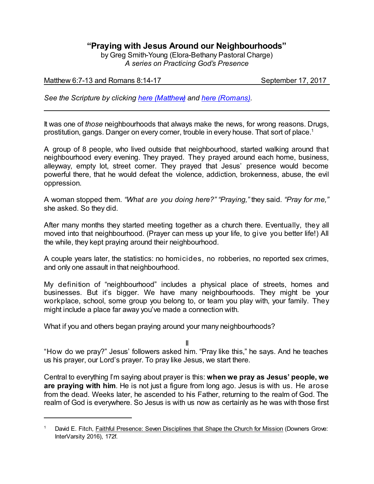# **"Praying with Jesus Around our Neighbourhoods"**

by Greg Smith-Young (Elora-Bethany Pastoral Charge) *A series on Practicing God's Presence*

# Matthew 6:7-13 and Romans 8:14-17 September 17, 2017

*See the Scripture by clicking [here \(Matthew\)](https://www.biblegateway.com/passage/?search=Matthew+6%3A7-13&version=CEB) and [here \(Romans\)](https://www.biblegateway.com/passage/?search=Romans+8%3A14-17&version=CEB).*

It was one of *those* neighbourhoods that always make the news, for wrong reasons. Drugs, prostitution, gangs. Danger on every corner, trouble in every house. That sort of place.<sup>1</sup>

A group of 8 people, who lived outside that neighbourhood, started walking around that neighbourhood every evening. They prayed. They prayed around each home, business, alleyway, empty lot, street corner. They prayed that Jesus' presence would become powerful there, that he would defeat the violence, addiction, brokenness, abuse, the evil oppression.

A woman stopped them. *"What are you doing here?" "Praying,"* they said. *"Pray for me,"* she asked. So they did.

After many months they started meeting together as a church there. Eventually, they all moved into that neighbourhood. (Prayer can mess up your life, to give you better life!) All the while, they kept praying around their neighbourhood.

A couple years later, the statistics: no homicides, no robberies, no reported sex crimes, and only one assault in that neighbourhood.

My definition of "neighbourhood" includes a physical place of streets, homes and businesses. But it's bigger. We have many neighbourhoods. They might be your workplace, school, some group you belong to, or team you play with, your family. They might include a place far away you've made a connection with.

What if you and others began praying around your many neighbourhoods?

II

"How do we pray?" Jesus' followers asked him. "Pray like this," he says. And he teaches us his prayer, our Lord's prayer. To pray like Jesus, we start there.

Central to everything I'm saying about prayer is this: **when we pray as Jesus' people, we are praying with him**. He is not just a figure from long ago. Jesus is with us. He arose from the dead. Weeks later, he ascended to his Father, returning to the realm of God. The realm of God is everywhere. So Jesus is with us now as certainly as he was with those first

David E. Fitch, Faithful Presence: Seven Disciplines that Shape the Church for Mission (Downers Grove: InterVarsity 2016), 172f.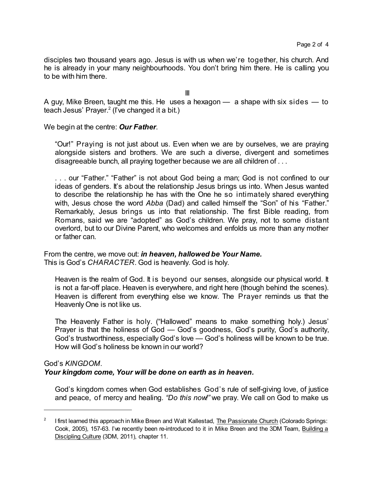disciples two thousand years ago. Jesus is with us when we're together, his church. And he is already in your many neighbourhoods. You don't bring him there. He is calling you to be with him there.

III

A guy, Mike Breen, taught me this. He uses a hexagon  $-$  a shape with six sides  $-$  to teach Jesus' Prayer. 2 (I've changed it a bit.)

We begin at the centre: *Our Father*.

"Our!" Praying is not just about us. Even when we are by ourselves, we are praying alongside sisters and brothers. We are such a diverse, divergent and sometimes disagreeable bunch, all praying together because we are all children of . . .

. . . our "Father." "Father" is not about God being a man; God is not confined to our ideas of genders. It's about the relationship Jesus brings us into. When Jesus wanted to describe the relationship he has with the One he so intimately shared everything with, Jesus chose the word *Abba* (Dad) and called himself the "Son" of his "Father." Remarkably, Jesus brings us into that relationship. The first Bible reading, from Romans, said we are "adopted" as God's children. We pray, not to some distant overlord, but to our Divine Parent, who welcomes and enfolds us more than any mother or father can.

From the centre, we move out: *in heaven, hallowed be Your Name.* This is God's *CHARACTER*. God is heavenly. God is holy.

Heaven is the realm of God. It is beyond our senses, alongside our physical world. It is not a far-off place. Heaven is everywhere, and right here (though behind the scenes). Heaven is different from everything else we know. The Prayer reminds us that the Heavenly One is not like us.

The Heavenly Father is holy. ("Hallowed" means to make something holy.) Jesus' Prayer is that the holiness of God — God's goodness, God's purity, God's authority, God's trustworthiness, especially God's love — God's holiness will be known to be true. How will God's holiness be known in our world?

#### God's *KINGDOM*.

#### *Your kingdom come, Your will be done on earth as in heaven.*

God's kingdom comes when God establishes God's rule of self-giving love, of justice and peace, of mercy and healing. *"Do this now!"* we pray. We call on God to make us

<sup>2</sup> I first learned this approach in Mike Breen and Walt Kallestad, The Passionate Church (Colorado Springs: Cook, 2005), 157-63. I've recently been re-introduced to it in Mike Breen and the 3DM Team, Building a Discipling Culture (3DM, 2011), chapter 11.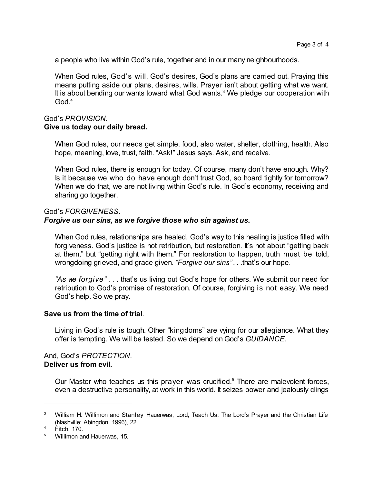a people who live within God's rule, together and in our many neighbourhoods.

When God rules, God's will, God's desires, God's plans are carried out. Praying this means putting aside our plans, desires, wills. Prayer isn't about getting what we want. It is about bending our wants toward what God wants.<sup>3</sup> We pledge our cooperation with God.<sup>4</sup>

# God's *PROVISION.*

# **Give us today our daily bread.**

When God rules, our needs get simple. food, also water, shelter, clothing, health. Also hope, meaning, love, trust, faith. "Ask!" Jesus says. Ask, and receive.

When God rules, there is enough for today. Of course, many don't have enough. Why? Is it because we who do have enough don't trust God, so hoard tightly for tomorrow? When we do that, we are not living within God's rule. In God's economy, receiving and sharing go together.

#### God's *FORGIVENESS*.

#### *Forgive us our sins, as we forgive those who sin against us.*

When God rules, relationships are healed. God's way to this healing is justice filled with forgiveness. God's justice is not retribution, but restoration. It's not about "getting back at them," but "getting right with them." For restoration to happen, truth must be told, wrongdoing grieved, and grace given. *"Forgive our sins". . .*that's our hope.

*"As we forgive" . . .* that's us living out God's hope for others. We submit our need for retribution to God's promise of restoration. Of course, forgiving is not easy. We need God's help. So we pray.

#### **Save us from the time of trial**.

Living in God's rule is tough. Other "kingdoms" are vying for our allegiance. What they offer is tempting. We will be tested. So we depend on God's *GUIDANCE*.

#### And, God's *PROTECTION*. **Deliver us from evil.**

Our Master who teaches us this prayer was crucified.<sup>5</sup> There are malevolent forces, even a destructive personality, at work in this world. It seizes power and jealously clings

<sup>&</sup>lt;sup>3</sup> William H. Willimon and Stanley Hauerwas, Lord, Teach Us: The Lord's Prayer and the Christian Life (Nashville: Abingdon, 1996), 22.

 $4$  Fitch, 170.

<sup>5</sup> Willimon and Hauerwas, 15.